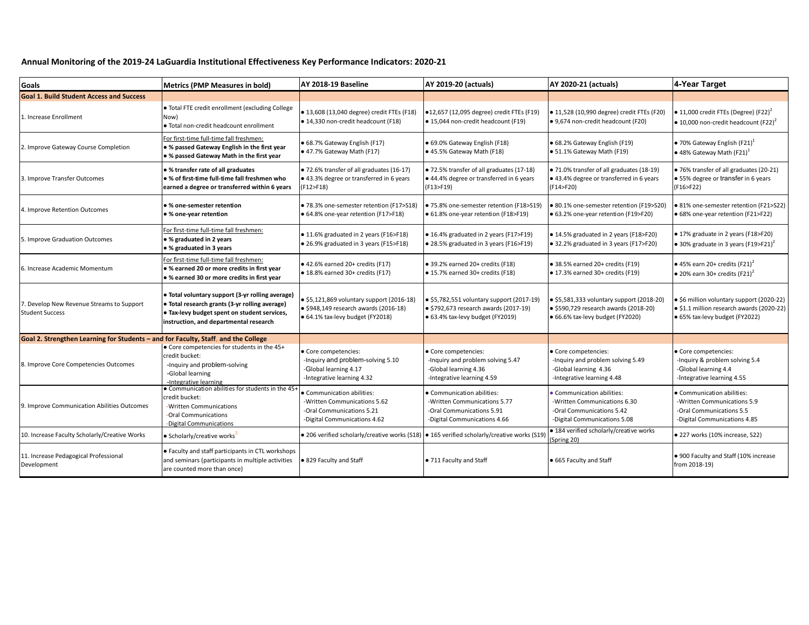## **Annual Monitoring of the 2019-24 LaGuardia Institutional Effectiveness Key Performance Indicators: 2020-21**

| Goals                                                                              | <b>Metrics (PMP Measures in bold)</b>                                                                                                                                                        | AY 2018-19 Baseline                                                                                                           | <b>AY 2019-20 (actuals)</b>                                                                                             | AY 2020-21 (actuals)                                                                                                           | 4-Year Target                                                                                                            |
|------------------------------------------------------------------------------------|----------------------------------------------------------------------------------------------------------------------------------------------------------------------------------------------|-------------------------------------------------------------------------------------------------------------------------------|-------------------------------------------------------------------------------------------------------------------------|--------------------------------------------------------------------------------------------------------------------------------|--------------------------------------------------------------------------------------------------------------------------|
| <b>Goal 1. Build Student Access and Success</b>                                    |                                                                                                                                                                                              |                                                                                                                               |                                                                                                                         |                                                                                                                                |                                                                                                                          |
| 1. Increase Enrollment                                                             | . Total FTE credit enrollment (excluding College<br>Now)<br>. Total non-credit headcount enrollment                                                                                          | ● 13,608 (13,040 degree) credit FTEs (F18)<br>· 14,330 non-credit headcount (F18)                                             | ●12,657 (12,095 degree) credit FTEs (F19)<br>● 15,044 non-credit headcount (F19)                                        | ● 11,528 (10,990 degree) credit FTEs (F20)<br>● 9,674 non-credit headcount (F20)                                               | $\bullet$ 11,000 credit FTEs (Degree) (F22) <sup>2</sup><br>$\bullet$ 10,000 non-credit headcount (F22) <sup>2</sup>     |
| 2. Improve Gateway Course Completion                                               | For first-time full-time fall freshmen:<br>• % passed Gateway English in the first year<br>. % passed Gateway Math in the first year                                                         | • 68.7% Gateway English (F17)<br>• 47.7% Gateway Math (F17)                                                                   | • 69.0% Gateway English (F18)<br>• 45.5% Gateway Math (F18)                                                             | • 68.2% Gateway English (F19)<br>• 51.1% Gateway Math (F19)                                                                    | $\bullet$ 70% Gateway English (F21) <sup>1</sup><br>$\bullet$ 48% Gateway Math (F21) <sup>1</sup>                        |
| 3. Improve Transfer Outcomes                                                       | • % transfer rate of all graduates<br>. % of first-time full-time fall freshmen who<br>earned a degree or transferred within 6 years                                                         | · 72.6% transfer of all graduates (16-17)<br>• 43.3% degree or transferred in 6 years<br>(F12>F18)                            | • 72.5% transfer of all graduates (17-18)<br>• 44.4% degree or transferred in 6 years<br>(F13>F19)                      | • 71.0% transfer of all graduates (18-19)<br>• 43.4% degree or transferred in 6 years<br>(F14 > F20)                           | · 76% transfer of all graduates (20-21)<br>• 55% degree or transfer in 6 years<br>(F16>F22)                              |
| 4. Improve Retention Outcomes                                                      | • % one-semester retention<br>● % one-year retention                                                                                                                                         | · 78.3% one-semester retention (F17>S18)<br>• 64.8% one-year retention (F17>F18)                                              | ● 75.8% one-semester retention (F18>S19)<br>• 61.8% one-year retention (F18>F19)                                        | • 80.1% one-semester retention (F19>S20)<br>• 63.2% one-year retention (F19>F20)                                               | • 81% one-semester retention (F21>S22)<br>• 68% one-year retention (F21>F22)                                             |
| 5. Improve Graduation Outcomes                                                     | For first-time full-time fall freshmen:<br>● % graduated in 2 years<br>• % graduated in 3 years                                                                                              | • 11.6% graduated in 2 years (F16>F18)<br>• 26.9% graduated in 3 years (F15>F18)                                              | • 16.4% graduated in 2 years (F17>F19)<br>• 28.5% graduated in 3 years (F16>F19)                                        | • 14.5% graduated in 2 years (F18>F20)<br>• 32.2% graduated in 3 years (F17>F20)                                               | • 17% graduate in 2 years (F18>F20)<br>• 30% graduate in 3 years (F19>F21) <sup>2</sup>                                  |
| 6. Increase Academic Momentum                                                      | For first-time full-time fall freshmen:<br>• % earned 20 or more credits in first year<br>• % earned 30 or more credits in first year                                                        | ● 42.6% earned 20+ credits (F17)<br>• 18.8% earned 30+ credits (F17)                                                          | • 39.2% earned 20+ credits (F18)<br>• 15.7% earned 30+ credits (F18)                                                    | • 38.5% earned 20+ credits (F19)<br>• 17.3% earned 30+ credits (F19)                                                           | $\bullet$ 45% earn 20+ credits (F21) <sup>2</sup><br>$\bullet$ 20% earn 30+ credits (F21) <sup>2</sup>                   |
| 7. Develop New Revenue Streams to Support<br><b>Student Success</b>                | · Total voluntary support (3-yr rolling average)<br>· Total research grants (3-yr rolling average)<br>• Tax-levy budget spent on student services,<br>instruction, and departmental research | $$5,121,869$ voluntary support (2016-18)<br>$\bullet$ \$948,149 research awards (2016-18)<br>· 64.1% tax-levy budget (FY2018) | • \$5,782,551 voluntary support (2017-19)<br>• \$792,673 research awards (2017-19)<br>• 63.4% tax-levy budget (FY2019)  | $\bullet$ \$5,581,333 voluntary support (2018-20)<br>· \$590,729 research awards (2018-20)<br>• 66.6% tax-levy budget (FY2020) | • \$6 million voluntary support (2020-22)<br>· \$1.1 million research awards (2020-22)<br>· 65% tax-levy budget (FY2022) |
| Goal 2. Strengthen Learning for Students - and for Faculty, Staff, and the College |                                                                                                                                                                                              |                                                                                                                               |                                                                                                                         |                                                                                                                                |                                                                                                                          |
| 8. Improve Core Competencies Outcomes                                              | • Core competencies for students in the 45+<br>credit bucket:<br>-Inquiry and problem-solving<br>-Global learning<br>-Integrative learning                                                   | Core competencies:<br>-Inquiry and problem-solving 5.10<br>-Global learning 4.17<br>-Integrative learning 4.32                | • Core competencies:<br>-Inquiry and problem solving 5.47<br>-Global learning 4.36<br>-Integrative learning 4.59        | • Core competencies:<br>-Inquiry and problem solving 5.49<br>-Global learning 4.36<br>-Integrative learning 4.48               | • Core competencies:<br>-Inquiry & problem solving 5.4<br>-Global learning 4.4<br>-Integrative learning 4.55             |
| 9. Improve Communication Abilities Outcomes                                        | . Communication abilities for students in the 45+<br>credit bucket:<br>-Written Communications<br>-Oral Communications<br>-Digital Communications                                            | Communication abilities:<br>-Written Communications 5.62<br>-Oral Communications 5.21<br>-Digital Communications 4.62         | • Communication abilities:<br>-Written Communications 5.77<br>-Oral Communications 5.91<br>-Digital Communications 4.66 | • Communication abilities:<br>-Written Communications 6.30<br>-Oral Communications 5.42<br>-Digital Communications 5.08        | • Communication abilities:<br>-Written Communications 5.9<br>-Oral Communications 5.5<br>-Digital Communications 4.85    |
| 10. Increase Faculty Scholarly/Creative Works                                      | · Scholarly/creative works                                                                                                                                                                   | • 206 verified scholarly/creative works (S18) • 165 verified scholarly/creative works (S19                                    |                                                                                                                         | • 184 verified scholarly/creative works<br>(Spring 20)                                                                         | · 227 works (10% increase, S22)                                                                                          |
| 11. Increase Pedagogical Professional<br>Development                               | • Faculty and staff participants in CTL workshops<br>and seminars (participants in multiple activities<br>are counted more than once)                                                        | ● 829 Faculty and Staff                                                                                                       | • 711 Faculty and Staff                                                                                                 | • 665 Faculty and Staff                                                                                                        | . 900 Faculty and Staff (10% increase<br>from 2018-19)                                                                   |